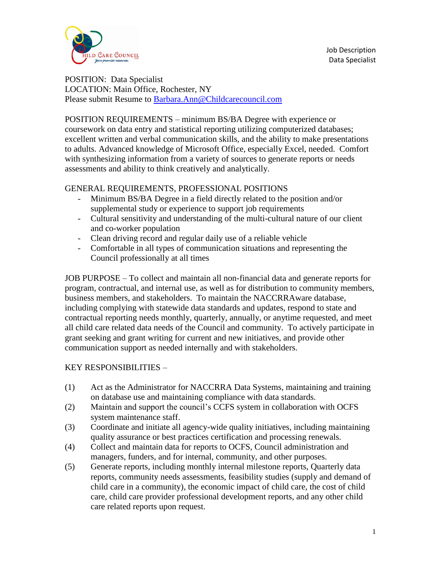

Job Description Data Specialist

POSITION: Data Specialist LOCATION: Main Office, Rochester, NY Please submit Resume to [Barbara.Ann@Childcarecouncil.com](mailto:Barbara.Ann@Childcarecouncil.com)

POSITION REQUIREMENTS – minimum BS/BA Degree with experience or coursework on data entry and statistical reporting utilizing computerized databases; excellent written and verbal communication skills, and the ability to make presentations to adults. Advanced knowledge of Microsoft Office, especially Excel, needed. Comfort with synthesizing information from a variety of sources to generate reports or needs assessments and ability to think creatively and analytically.

## GENERAL REQUIREMENTS, PROFESSIONAL POSITIONS

- Minimum BS/BA Degree in a field directly related to the position and/or supplemental study or experience to support job requirements
- Cultural sensitivity and understanding of the multi-cultural nature of our client and co-worker population
- Clean driving record and regular daily use of a reliable vehicle
- Comfortable in all types of communication situations and representing the Council professionally at all times

JOB PURPOSE – To collect and maintain all non-financial data and generate reports for program, contractual, and internal use, as well as for distribution to community members, business members, and stakeholders. To maintain the NACCRRAware database, including complying with statewide data standards and updates, respond to state and contractual reporting needs monthly, quarterly, annually, or anytime requested, and meet all child care related data needs of the Council and community. To actively participate in grant seeking and grant writing for current and new initiatives, and provide other communication support as needed internally and with stakeholders.

## KEY RESPONSIBILITIES –

- (1) Act as the Administrator for NACCRRA Data Systems, maintaining and training on database use and maintaining compliance with data standards.
- (2) Maintain and support the council's CCFS system in collaboration with OCFS system maintenance staff.
- (3) Coordinate and initiate all agency-wide quality initiatives, including maintaining quality assurance or best practices certification and processing renewals.
- (4) Collect and maintain data for reports to OCFS, Council administration and managers, funders, and for internal, community, and other purposes.
- (5) Generate reports, including monthly internal milestone reports, Quarterly data reports, community needs assessments, feasibility studies (supply and demand of child care in a community), the economic impact of child care, the cost of child care, child care provider professional development reports, and any other child care related reports upon request.